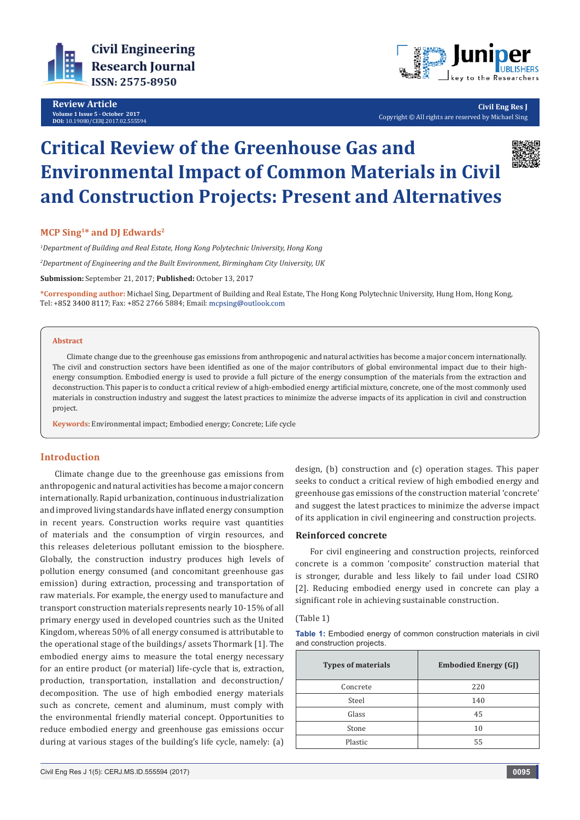

**Review Article Volume 1 Issue 5 - October 2017 DOI:** [10.19080/CERJ.2017.02.555594](http://dx.doi.org/10.19080/CERJ.2017.02.555594
)



**Civil Eng Res J** Copyright © All rights are reserved by Michael Sing

# **Critical Review of the Greenhouse Gas and Environmental Impact of Common Materials in Civil and Construction Projects: Present and Alternatives**



*1 Department of Building and Real Estate, Hong Kong Polytechnic University, Hong Kong*

*2 Department of Engineering and the Built Environment, Birmingham City University, UK*

**Submission:** September 21, 2017; **Published:** October 13, 2017

**\*Corresponding author:** Michael Sing, Department of Building and Real Estate, The Hong Kong Polytechnic University, Hung Hom, Hong Kong, Tel: +852 3400 8117; Fax: +852 2766 5884; Email: mcpsing@outlook.com

### **Abstract**

Climate change due to the greenhouse gas emissions from anthropogenic and natural activities has become a major concern internationally. The civil and construction sectors have been identified as one of the major contributors of global environmental impact due to their highenergy consumption. Embodied energy is used to provide a full picture of the energy consumption of the materials from the extraction and deconstruction. This paper is to conduct a critical review of a high-embodied energy artificial mixture, concrete, one of the most commonly used materials in construction industry and suggest the latest practices to minimize the adverse impacts of its application in civil and construction project.

**Keywords**: Environmental impact; Embodied energy; Concrete; Life cycle

# **Introduction**

Climate change due to the greenhouse gas emissions from anthropogenic and natural activities has become a major concern internationally. Rapid urbanization, continuous industrialization and improved living standards have inflated energy consumption in recent years. Construction works require vast quantities of materials and the consumption of virgin resources, and this releases deleterious pollutant emission to the biosphere. Globally, the construction industry produces high levels of pollution energy consumed (and concomitant greenhouse gas emission) during extraction, processing and transportation of raw materials. For example, the energy used to manufacture and transport construction materials represents nearly 10-15% of all primary energy used in developed countries such as the United Kingdom, whereas 50% of all energy consumed is attributable to the operational stage of the buildings/ assets Thormark [1]. The embodied energy aims to measure the total energy necessary for an entire product (or material) life-cycle that is, extraction, production, transportation, installation and deconstruction/ decomposition. The use of high embodied energy materials such as concrete, cement and aluminum, must comply with the environmental friendly material concept. Opportunities to reduce embodied energy and greenhouse gas emissions occur during at various stages of the building's life cycle, namely: (a)

design, (b) construction and (c) operation stages. This paper seeks to conduct a critical review of high embodied energy and greenhouse gas emissions of the construction material 'concrete' and suggest the latest practices to minimize the adverse impact of its application in civil engineering and construction projects.

## **Reinforced concrete**

For civil engineering and construction projects, reinforced concrete is a common 'composite' construction material that is stronger, durable and less likely to fail under load CSIRO [2]. Reducing embodied energy used in concrete can play a significant role in achieving sustainable construction.

# (Table 1)

| Table 1: Embodied energy of common construction materials in civil |  |  |  |
|--------------------------------------------------------------------|--|--|--|
| and construction projects.                                         |  |  |  |

| <b>Types of materials</b> | <b>Embodied Energy (GJ)</b> |  |  |
|---------------------------|-----------------------------|--|--|
| Concrete                  | 220                         |  |  |
| Steel                     | 140                         |  |  |
| Glass                     | 45                          |  |  |
| Stone                     | 10                          |  |  |
| Plastic                   | 55                          |  |  |